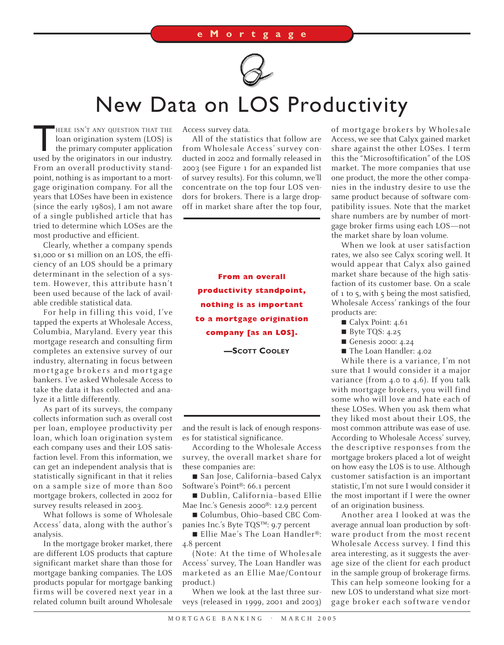

## New Data on LOS Productivity

HERE ISN'T ANY QUESTION THAT THE<br>loan origination system (LOS) is<br>the primary computer application<br>used by the originators in our industry. loan origination system (LOS) is the primary computer application used by the originators in our industry. From an overall productivity standpoint, nothing is as important to a mortgage origination company. For all the years that LOSes have been in existence (since the early 1980s), I am not aware of a single published article that has tried to determine which LOSes are the most productive and efficient.

Clearly, whether a company spends \$1,000 or \$1 million on an LOS, the efficiency of an LOS should be a primary determinant in the selection of a system. However, this attribute hasn't been used because of the lack of available credible statistical data.

For help in filling this void, I've tapped the experts at Wholesale Access, Columbia, Maryland. Every year this mortgage research and consulting firm completes an extensive survey of our industry, alternating in focus between mortgage brokers and mortgage bankers. I've asked Wholesale Access to take the data it has collected and analyze it a little differently.

As part of its surveys, the company collects information such as overall cost per loan, employee productivity per loan, which loan origination system each company uses and their LOS satisfaction level. From this information, we can get an independent analysis that is statistically significant in that it relies on a sample size of more than 800 mortgage brokers, collected in 2002 for survey results released in 2003.

What follows is some of Wholesale Access' data, along with the author's analysis.

In the mortgage broker market, there are different LOS products that capture significant market share than those for mortgage banking companies. The LOS products popular for mortgage banking firms will be covered next year in a related column built around Wholesale

Access survey data.

All of the statistics that follow are from Wholesale Access' survey conducted in 2002 and formally released in 2003 (see Figure 1 for an expanded list of survey results). For this column, we'll concentrate on the top four LOS vendors for brokers. There is a large dropoff in market share after the top four,

**From an overall productivity standpoint, nothing is as important to a mortgage origination company [as an LOS].**

**—SCOTT COOLEY**

and the result is lack of enough responses for statistical significance.

According to the Wholesale Access survey, the overall market share for these companies are:

■ San Jose, California-based Calyx Software's Point®: 66.1 percent

■ Dublin, California-based Ellie Mae Inc.'s Genesis 2000®: 12.9 percent

■ Columbus, Ohio-based CBC Companies Inc.'s Byte TQS™: 9.7 percent

■ Ellie Mae's The Loan Handler®: 4.8 percent

(Note: At the time of Wholesale Access' survey, The Loan Handler was marketed as an Ellie Mae/Contour product.)

When we look at the last three surveys (released in 1999, 2001 and 2003)

of mortgage brokers by Wholesale Access, we see that Calyx gained market share against the other LOSes. I term this the "Microsoftification" of the LOS market. The more companies that use one product, the more the other companies in the industry desire to use the same product because of software compatibility issues. Note that the market share numbers are by number of mortgage broker firms using each LOS—not the market share by loan volume.

When we look at user satisfaction rates, we also see Calyx scoring well. It would appear that Calyx also gained market share because of the high satisfaction of its customer base. On a scale of 1 to 5, with 5 being the most satisfied, Wholesale Access' rankings of the four products are:

- Calyx Point: 4.61
- Byte TQS: 4.25
- Genesis 2000: 4.24
- The Loan Handler: 4.02

While there is a variance, I'm not sure that I would consider it a major variance (from 4.0 to 4.6). If you talk with mortgage brokers, you will find some who will love and hate each of these LOSes. When you ask them what they liked most about their LOS, the most common attribute was ease of use. According to Wholesale Access' survey, the descriptive responses from the mortgage brokers placed a lot of weight on how easy the LOS is to use. Although customer satisfaction is an important statistic, I'm not sure I would consider it the most important if I were the owner of an origination business.

Another area I looked at was the average annual loan production by software product from the most recent Wholesale Access survey. I find this area interesting, as it suggests the average size of the client for each product in the sample group of brokerage firms. This can help someone looking for a new LOS to understand what size mortgage broker each software vendor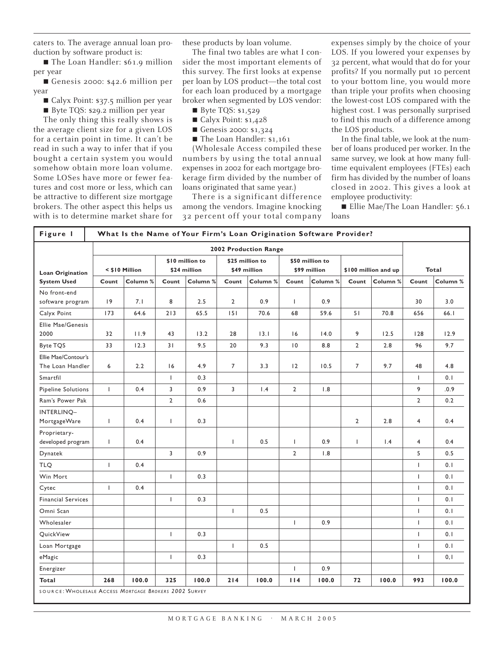caters to. The average annual loan production by software product is:

■ The Loan Handler: \$61.9 million per year

■ Genesis 2000: \$42.6 million per year

- Calyx Point: \$37.5 million per year
- Byte TQS: \$29.2 million per year

The only thing this really shows is the average client size for a given LOS for a certain point in time. It can't be read in such a way to infer that if you bought a certain system you would somehow obtain more loan volume. Some LOSes have more or fewer features and cost more or less, which can be attractive to different size mortgage brokers. The other aspect this helps us with is to determine market share for these products by loan volume.

The final two tables are what I consider the most important elements of this survey. The first looks at expense per loan by LOS product—the total cost for each loan produced by a mortgage broker when segmented by LOS vendor:

- Byte TQS: \$1,529
- Calyx Point: \$1,428
- Genesis 2000: \$1,324
- The Loan Handler: \$1,161

(Wholesale Access compiled these numbers by using the total annual expenses in 2002 for each mortgage brokerage firm divided by the number of loans originated that same year.)

There is a significant difference among the vendors. Imagine knocking 32 percent off your total company expenses simply by the choice of your LOS. If you lowered your expenses by 32 percent, what would that do for your profits? If you normally put 10 percent to your bottom line, you would more than triple your profits when choosing the lowest-cost LOS compared with the highest cost. I was personally surprised to find this much of a difference among the LOS products.

In the final table, we look at the number of loans produced per worker. In the same survey, we look at how many fulltime equivalent employees (FTEs) each firm has divided by the number of loans closed in 2002. This gives a look at employee productivity:

■ Ellie Mae/The Loan Handler: 56.1 loans

| Figure 1                                      | What Is the Name of Your Firm's Loan Origination Software Provider? |                       |                                 |          |                                 |          |                                 |          |                      |          |                |          |
|-----------------------------------------------|---------------------------------------------------------------------|-----------------------|---------------------------------|----------|---------------------------------|----------|---------------------------------|----------|----------------------|----------|----------------|----------|
|                                               |                                                                     | 2002 Production Range |                                 |          |                                 |          |                                 |          |                      |          |                |          |
| <b>Loan Origination</b><br><b>System Used</b> | < \$10 Million                                                      |                       | \$10 million to<br>\$24 million |          | \$25 million to<br>\$49 million |          | \$50 million to<br>\$99 million |          | \$100 million and up |          | Total          |          |
|                                               | Count                                                               | Column %              | Count                           | Column % | Count                           | Column % | Count                           | Column % | Count                | Column % | Count          | Column % |
| No front-end<br>software program              | 9                                                                   | 7.1                   | 8                               | 2.5      | $\overline{2}$                  | 0.9      | $\mathbf{I}$                    | 0.9      |                      |          | 30             | 3.0      |
| Calyx Point                                   | 173                                                                 | 64.6                  | 213                             | 65.5     | 151                             | 70.6     | 68                              | 59.6     | 51                   | 70.8     | 656            | 66.1     |
| <b>Ellie Mae/Genesis</b><br>2000              | 32                                                                  | 11.9                  | 43                              | 13.2     | 28                              | 13.1     | 16                              | 14.0     | 9                    | 12.5     | 128            | 12.9     |
| Byte TQS                                      | 33                                                                  | 12.3                  | 31                              | 9.5      | 20                              | 9.3      | $\overline{10}$                 | 8.8      | $\overline{2}$       | 2.8      | 96             | 9.7      |
| Ellie Mae/Contour's<br>The Loan Handler       | 6                                                                   | 2.2                   | 16                              | 4.9      | $\overline{7}$                  | 3.3      | 12                              | 10.5     | $\overline{7}$       | 9.7      | 48             | 4.8      |
| Smartfil                                      |                                                                     |                       | $\mathbf{I}$                    | 0.3      |                                 |          |                                 |          |                      |          | $\mathbf{I}$   | 0.1      |
| Pipeline Solutions                            | $\mathbf{I}$                                                        | 0.4                   | 3                               | 0.9      | 3                               | 1.4      | $\overline{2}$                  | 1.8      |                      |          | 9              | .0.9     |
| Ram's Power Pak                               |                                                                     |                       | $\overline{2}$                  | 0.6      |                                 |          |                                 |          |                      |          | $\overline{2}$ | 0.2      |
| INTERLINO-<br>MortgageWare                    | L                                                                   | 0.4                   | $\mathsf{I}$                    | 0.3      |                                 |          |                                 |          | $\overline{2}$       | 2.8      | $\overline{4}$ | 0.4      |
| Proprietary-<br>developed program             | T                                                                   | 0.4                   |                                 |          | $\mathbf{I}$                    | 0.5      | I.                              | 0.9      | $\mathbf{I}$         | 1.4      | $\overline{4}$ | 0.4      |
| Dynatek                                       |                                                                     |                       | 3                               | 0.9      |                                 |          | $\overline{2}$                  | 1.8      |                      |          | 5              | 0.5      |
| <b>TLQ</b>                                    | Τ.                                                                  | 0.4                   |                                 |          |                                 |          |                                 |          |                      |          | $\mathbf{I}$   | 0.1      |
| Win Mort                                      |                                                                     |                       | $\mathbf{I}$                    | 0.3      |                                 |          |                                 |          |                      |          | $\mathbf{I}$   | 0.1      |
| Cytec                                         | L                                                                   | 0.4                   |                                 |          |                                 |          |                                 |          |                      |          | T              | 0.1      |
| <b>Financial Services</b>                     |                                                                     |                       | L                               | 0.3      |                                 |          |                                 |          |                      |          | $\mathsf{L}$   | 0.1      |
| Omni Scan                                     |                                                                     |                       |                                 |          | T                               | 0.5      |                                 |          |                      |          | $\mathbf{I}$   | 0.1      |
| Wholesaler                                    |                                                                     |                       |                                 |          |                                 |          | $\mathbf{I}$                    | 0.9      |                      |          | $\mathbf{I}$   | 0.1      |
| QuickView                                     |                                                                     |                       | $\mathbf{I}$                    | 0.3      |                                 |          |                                 |          |                      |          | $\mathbf{I}$   | 0.1      |
| Loan Mortgage                                 |                                                                     |                       |                                 |          | T                               | 0.5      |                                 |          |                      |          | $\mathbf{I}$   | 0.1      |
| eMagic                                        |                                                                     |                       | T                               | 0.3      |                                 |          |                                 |          |                      |          | T              | 0, 1     |
| Energizer                                     |                                                                     |                       |                                 |          |                                 |          | I.                              | 0.9      |                      |          |                |          |
| <b>Total</b>                                  | 268                                                                 | 100.0                 | 325                             | 100.0    | 214                             | 100.0    | 114                             | 100.0    | 72                   | 100.0    | 993            | 100.0    |